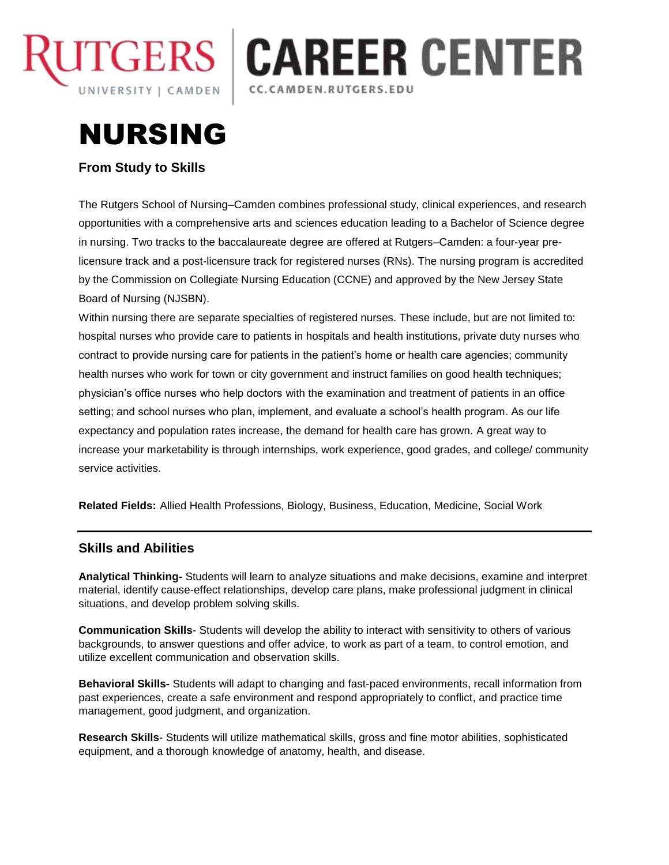

## **CAREER CENTER** CC.CAMDEN.RUTGERS.EDU

# NURSING

## **From Study to Skills**

The Rutgers School of Nursing–Camden combines professional study, clinical experiences, and research opportunities with a comprehensive arts and sciences education leading to a Bachelor of Science degree in nursing. Two tracks to the baccalaureate degree are offered at Rutgers–Camden: a four-year prelicensure track and a post-licensure track for registered nurses (RNs). The nursing program is accredited by the Commission on Collegiate Nursing Education (CCNE) and approved by the New Jersey State Board of Nursing (NJSBN).

Within nursing there are separate specialties of registered nurses. These include, but are not limited to: hospital nurses who provide care to patients in hospitals and health institutions, private duty nurses who contract to provide nursing care for patients in the patient's home or health care agencies; community health nurses who work for town or city government and instruct families on good health techniques; physician's office nurses who help doctors with the examination and treatment of patients in an office setting; and school nurses who plan, implement, and evaluate a school's health program. As our life expectancy and population rates increase, the demand for health care has grown. A great way to increase your marketability is through internships, work experience, good grades, and college/ community service activities.

**Related Fields:** Allied Health Professions, Biology, Business, Education, Medicine, Social Work

### **Skills and Abilities**

**Analytical Thinking-** Students will learn to analyze situations and make decisions, examine and interpret material, identify cause-effect relationships, develop care plans, make professional judgment in clinical situations, and develop problem solving skills.

**Communication Skills**- Students will develop the ability to interact with sensitivity to others of various backgrounds, to answer questions and offer advice, to work as part of a team, to control emotion, and utilize excellent communication and observation skills.

**Behavioral Skills-** Students will adapt to changing and fast-paced environments, recall information from past experiences, create a safe environment and respond appropriately to conflict, and practice time management, good judgment, and organization.

**Research Skills**- Students will utilize mathematical skills, gross and fine motor abilities, sophisticated equipment, and a thorough knowledge of anatomy, health, and disease.